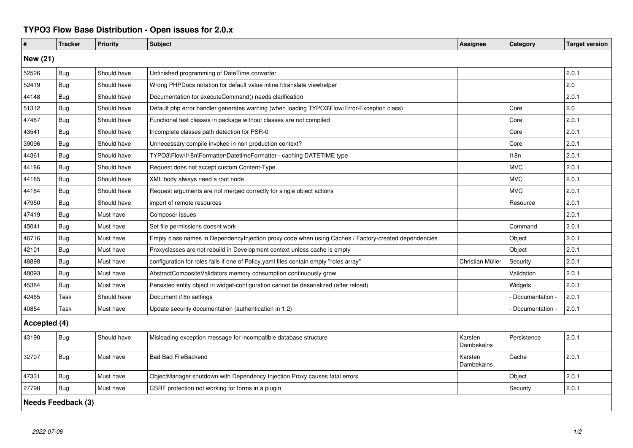## **TYPO3 Flow Base Distribution - Open issues for 2.0.x**

| #               | <b>Tracker</b> | <b>Priority</b> | <b>Subject</b>                                                                                       | <b>Assignee</b>       | Category          | <b>Target version</b> |  |  |  |
|-----------------|----------------|-----------------|------------------------------------------------------------------------------------------------------|-----------------------|-------------------|-----------------------|--|--|--|
| <b>New (21)</b> |                |                 |                                                                                                      |                       |                   |                       |  |  |  |
| 52526           | Bug            | Should have     | Unfinished programming of DateTime converter                                                         |                       |                   | 2.0.1                 |  |  |  |
| 52419           | Bug            | Should have     | Wrong PHPDocs notation for default value inline f:translate viewhelper                               |                       |                   | 2.0                   |  |  |  |
| 44148           | Bug            | Should have     | Documentation for executeCommand() needs clarification                                               |                       |                   | 2.0.1                 |  |  |  |
| 51312           | Bug            | Should have     | Default php error handler generates warning (when loading TYPO3\Flow\Error\Exception class)          |                       | Core              | 2.0                   |  |  |  |
| 47487           | Bug            | Should have     | Functional test classes in package without classes are not compiled                                  |                       | Core              | 2.0.1                 |  |  |  |
| 43541           | Bug            | Should have     | Incomplete classes path detection for PSR-0                                                          |                       | Core              | 2.0.1                 |  |  |  |
| 39096           | Bug            | Should have     | Unnecessary compile invoked in non production context?                                               |                       | Core              | 2.0.1                 |  |  |  |
| 44361           | Bug            | Should have     | TYPO3\Flow\I18n\Formatter\DatetimeFormatter - caching DATETIME type                                  |                       | 118n              | 2.0.1                 |  |  |  |
| 44186           | Bug            | Should have     | Request does not accept custom Content-Type                                                          |                       | <b>MVC</b>        | 2.0.1                 |  |  |  |
| 44185           | Bug            | Should have     | XML body always need a root node                                                                     |                       | <b>MVC</b>        | 2.0.1                 |  |  |  |
| 44184           | <b>Bug</b>     | Should have     | Request arguments are not merged correctly for single object actions                                 |                       | <b>MVC</b>        | 2.0.1                 |  |  |  |
| 47950           | Bug            | Should have     | import of remote resources                                                                           |                       | Resource          | 2.0.1                 |  |  |  |
| 47419           | Bug            | Must have       | Composer issues                                                                                      |                       |                   | 2.0.1                 |  |  |  |
| 45041           | Bug            | Must have       | Set file permissions doesnt work                                                                     |                       | Command           | 2.0.1                 |  |  |  |
| 46716           | Bug            | Must have       | Empty class names in DependencyInjection proxy code when using Caches / Factory-created dependencies |                       | Object            | 2.0.1                 |  |  |  |
| 42101           | Bug            | Must have       | Proxyclasses are not rebuild in Development context unless cache is empty                            |                       | Object            | 2.0.1                 |  |  |  |
| 48898           | Bug            | Must have       | configuration for roles fails if one of Policy yaml files contain empty "roles array"                | Christian Müller      | Security          | 2.0.1                 |  |  |  |
| 48093           | Bug            | Must have       | AbstractCompositeValidators memory consumption continuously grow                                     |                       | Validation        | 2.0.1                 |  |  |  |
| 45384           | Bug            | Must have       | Persisted entity object in widget-configuration cannot be deserialized (after reload)                |                       | Widgets           | 2.0.1                 |  |  |  |
| 42465           | Task           | Should have     | Document i18n settings                                                                               |                       | - Documentation - | 2.0.1                 |  |  |  |
| 40854           | Task           | Must have       | Update security documentation (authentication in 1.2)                                                |                       | Documentation     | 2.0.1                 |  |  |  |
| Accepted (4)    |                |                 |                                                                                                      |                       |                   |                       |  |  |  |
| 43190           | Bug            | Should have     | Misleading exception message for incompatible database structure                                     | Karsten<br>Dambekalns | Persistence       | 2.0.1                 |  |  |  |
| 32707           | Bug            | Must have       | <b>Bad Bad FileBackend</b>                                                                           | Karsten<br>Dambekalns | Cache             | 2.0.1                 |  |  |  |
| 47331           | Bug            | Must have       | ObjectManager shutdown with Dependency Injection Proxy causes fatal errors                           |                       | Object            | 2.0.1                 |  |  |  |
| 27798           | <b>Bug</b>     | Must have       | CSRF protection not working for forms in a plugin                                                    |                       | Security          | 2.0.1                 |  |  |  |

**Needs Feedback (3)**